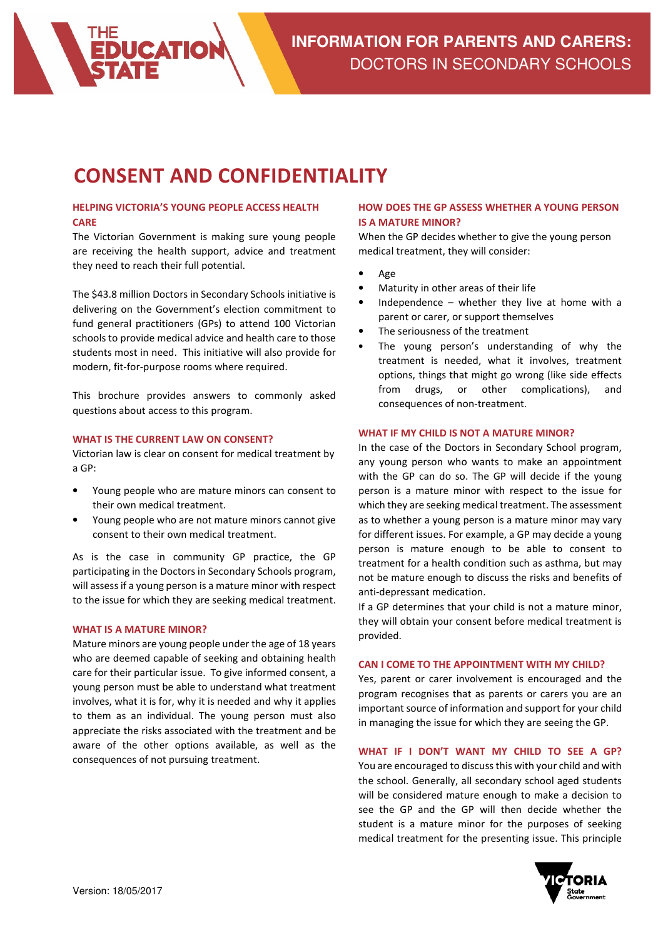

# CONSENT AND CONFIDENTIALITY

## HELPING VICTORIA'S YOUNG PEOPLE ACCESS HEALTH CARE

The Victorian Government is making sure young people are receiving the health support, advice and treatment they need to reach their full potential.

The \$43.8 million Doctors in Secondary Schools initiative is delivering on the Government's election commitment to fund general practitioners (GPs) to attend 100 Victorian schools to provide medical advice and health care to those students most in need. This initiative will also provide for modern, fit-for-purpose rooms where required.

This brochure provides answers to commonly asked questions about access to this program.

## WHAT IS THE CURRENT LAW ON CONSENT?

Victorian law is clear on consent for medical treatment by a GP:

- Young people who are mature minors can consent to their own medical treatment.
- Young people who are not mature minors cannot give consent to their own medical treatment.

As is the case in community GP practice, the GP participating in the Doctors in Secondary Schools program, will assess if a young person is a mature minor with respect to the issue for which they are seeking medical treatment.

#### WHAT IS A MATURE MINOR?

Mature minors are young people under the age of 18 years who are deemed capable of seeking and obtaining health care for their particular issue. To give informed consent, a young person must be able to understand what treatment involves, what it is for, why it is needed and why it applies to them as an individual. The young person must also appreciate the risks associated with the treatment and be aware of the other options available, as well as the consequences of not pursuing treatment.

## HOW DOES THE GP ASSESS WHETHER A YOUNG PERSON IS A MATURE MINOR?

When the GP decides whether to give the young person medical treatment, they will consider:

- Age
- Maturity in other areas of their life
- Independence  $-$  whether they live at home with a parent or carer, or support themselves
- The seriousness of the treatment
- The young person's understanding of why the treatment is needed, what it involves, treatment options, things that might go wrong (like side effects from drugs, or other complications), and consequences of non-treatment.

## WHAT IF MY CHILD IS NOT A MATURE MINOR?

In the case of the Doctors in Secondary School program, any young person who wants to make an appointment with the GP can do so. The GP will decide if the young person is a mature minor with respect to the issue for which they are seeking medical treatment. The assessment as to whether a young person is a mature minor may vary for different issues. For example, a GP may decide a young person is mature enough to be able to consent to treatment for a health condition such as asthma, but may not be mature enough to discuss the risks and benefits of anti-depressant medication.

If a GP determines that your child is not a mature minor, they will obtain your consent before medical treatment is provided.

## CAN I COME TO THE APPOINTMENT WITH MY CHILD?

Yes, parent or carer involvement is encouraged and the program recognises that as parents or carers you are an important source of information and support for your child in managing the issue for which they are seeing the GP.

## WHAT IF I DON'T WANT MY CHILD TO SEE A GP?

You are encouraged to discuss this with your child and with the school. Generally, all secondary school aged students will be considered mature enough to make a decision to see the GP and the GP will then decide whether the student is a mature minor for the purposes of seeking medical treatment for the presenting issue. This principle